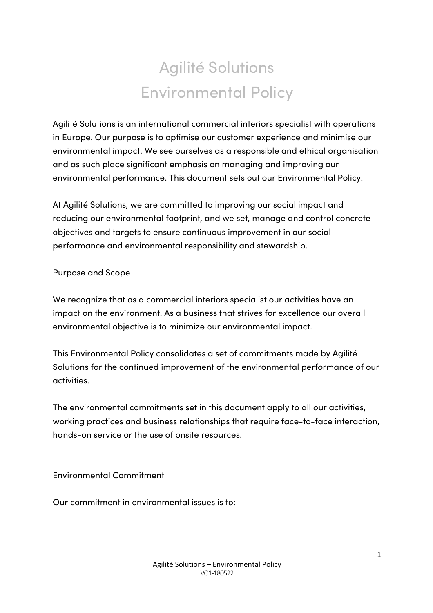## Agilité Solutions Environmental Policy

Agilité Solutions is an international commercial interiors specialist with operations in Europe. Our purpose is to optimise our customer experience and minimise our environmental impact. We see ourselves as a responsible and ethical organisation and as such place significant emphasis on managing and improving our environmental performance. This document sets out our Environmental Policy.

At Agilité Solutions, we are committed to improving our social impact and reducing our environmental footprint, and we set, manage and control concrete objectives and targets to ensure continuous improvement in our social performance and environmental responsibility and stewardship.

Purpose and Scope

We recognize that as a commercial interiors specialist our activities have an impact on the environment. As a business that strives for excellence our overall environmental objective is to minimize our environmental impact.

This Environmental Policy consolidates a set of commitments made by Agilité Solutions for the continued improvement of the environmental performance of our activities.

The environmental commitments set in this document apply to all our activities, working practices and business relationships that require face-to-face interaction, hands-on service or the use of onsite resources.

Environmental Commitment

Our commitment in environmental issues is to: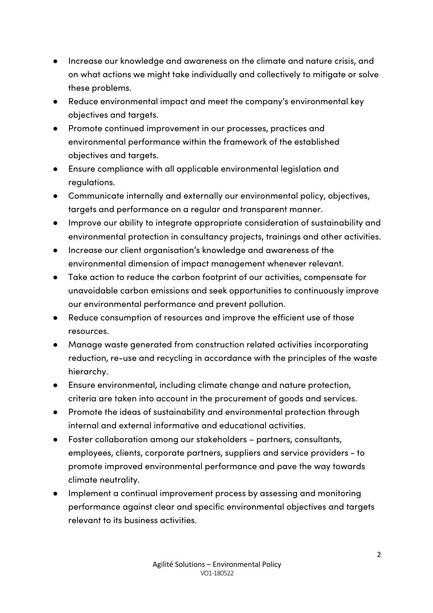- Increase our knowledge and awareness on the climate and nature crisis, and on what actions we might take individually and collectively to mitigate or solve these problems.
- Reduce environmental impact and meet the company's environmental key objectives and targets.
- Promote continued improvement in our processes, practices and environmental performance within the framework of the established objectives and targets.
- Ensure compliance with all applicable environmental legislation and regulations.
- Communicate internally and externally our environmental policy, objectives, targets and performance on a regular and transparent manner.
- Improve our ability to integrate appropriate consideration of sustainability and environmental protection in consultancy projects, trainings and other activities.
- Increase our client organisation's knowledge and awareness of the environmental dimension of impact management whenever relevant.
- Take action to reduce the carbon footprint of our activities, compensate for unavoidable carbon emissions and seek opportunities to continuously improve our environmental performance and prevent pollution.
- Reduce consumption of resources and improve the efficient use of those resources.
- Manage waste generated from construction related activities incorporating reduction, re-use and recycling in accordance with the principles of the waste hierarchy.
- Ensure environmental, including climate change and nature protection, criteria are taken into account in the procurement of goods and services.
- Promote the ideas of sustainability and environmental protection through internal and external informative and educational activities.
- Foster collaboration among our stakeholders partners, consultants, employees, clients, corporate partners, suppliers and service providers - to promote improved environmental performance and pave the way towards climate neutrality.
- Implement a continual improvement process by assessing and monitoring performance against clear and specific environmental objectives and targets relevant to its business activities.